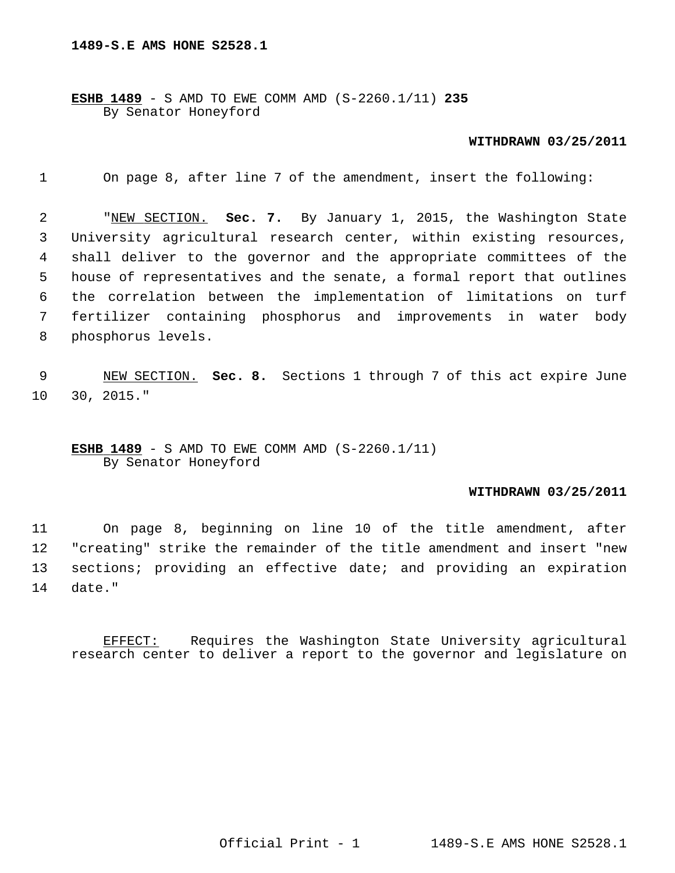**ESHB 1489** - S AMD TO EWE COMM AMD (S-2260.1/11) **235** By Senator Honeyford

## **WITHDRAWN 03/25/2011**

1 On page 8, after line 7 of the amendment, insert the following:

 2 "NEW SECTION. **Sec. 7.** By January 1, 2015, the Washington State 3 University agricultural research center, within existing resources, 4 shall deliver to the governor and the appropriate committees of the 5 house of representatives and the senate, a formal report that outlines 6 the correlation between the implementation of limitations on turf 7 fertilizer containing phosphorus and improvements in water body 8 phosphorus levels.

 9 NEW SECTION. **Sec. 8.** Sections 1 through 7 of this act expire June 10 30, 2015."

**ESHB 1489** - S AMD TO EWE COMM AMD (S-2260.1/11) By Senator Honeyford

## **WITHDRAWN 03/25/2011**

11 On page 8, beginning on line 10 of the title amendment, after 12 "creating" strike the remainder of the title amendment and insert "new 13 sections; providing an effective date; and providing an expiration 14 date."

EFFECT: Requires the Washington State University agricultural research center to deliver a report to the governor and legislature on